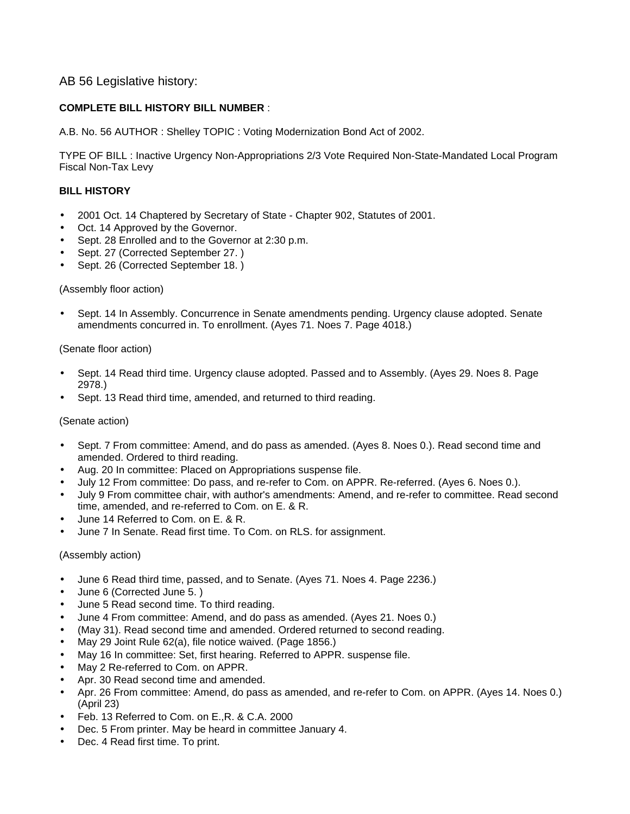## AB 56 Legislative history:

## **COMPLETE BILL HISTORY BILL NUMBER** :

A.B. No. 56 AUTHOR : Shelley TOPIC : Voting Modernization Bond Act of 2002.

TYPE OF BILL : Inactive Urgency Non-Appropriations 2/3 Vote Required Non-State-Mandated Local Program Fiscal Non-Tax Levy

#### **BILL HISTORY**

- 2001 Oct. 14 Chaptered by Secretary of State Chapter 902, Statutes of 2001.
- Oct. 14 Approved by the Governor.
- Sept. 28 Enrolled and to the Governor at 2:30 p.m.
- Sept. 27 (Corrected September 27.)
- Sept. 26 (Corrected September 18.)

#### (Assembly floor action)

• Sept. 14 In Assembly. Concurrence in Senate amendments pending. Urgency clause adopted. Senate amendments concurred in. To enrollment. (Ayes 71. Noes 7. Page 4018.)

#### (Senate floor action)

- Sept. 14 Read third time. Urgency clause adopted. Passed and to Assembly. (Ayes 29. Noes 8. Page 2978.)
- Sept. 13 Read third time, amended, and returned to third reading.

## (Senate action)

- Sept. 7 From committee: Amend, and do pass as amended. (Ayes 8. Noes 0.). Read second time and amended. Ordered to third reading.
- Aug. 20 In committee: Placed on Appropriations suspense file.
- July 12 From committee: Do pass, and re-refer to Com. on APPR. Re-referred. (Ayes 6. Noes 0.).
- July 9 From committee chair, with author's amendments: Amend, and re-refer to committee. Read second time, amended, and re-referred to Com. on E. & R.
- June 14 Referred to Com. on E. & R.
- June 7 In Senate. Read first time. To Com. on RLS. for assignment.

#### (Assembly action)

- June 6 Read third time, passed, and to Senate. (Ayes 71. Noes 4. Page 2236.)
- June 6 (Corrected June 5. )
- June 5 Read second time. To third reading.
- June 4 From committee: Amend, and do pass as amended. (Ayes 21. Noes 0.)
- (May 31). Read second time and amended. Ordered returned to second reading.
- May 29 Joint Rule 62(a), file notice waived. (Page 1856.)
- May 16 In committee: Set, first hearing. Referred to APPR. suspense file.
- May 2 Re-referred to Com. on APPR.
- Apr. 30 Read second time and amended.
- Apr. 26 From committee: Amend, do pass as amended, and re-refer to Com. on APPR. (Ayes 14. Noes 0.) (April 23)
- Feb. 13 Referred to Com. on E.,R. & C.A. 2000
- Dec. 5 From printer. May be heard in committee January 4.
- Dec. 4 Read first time. To print.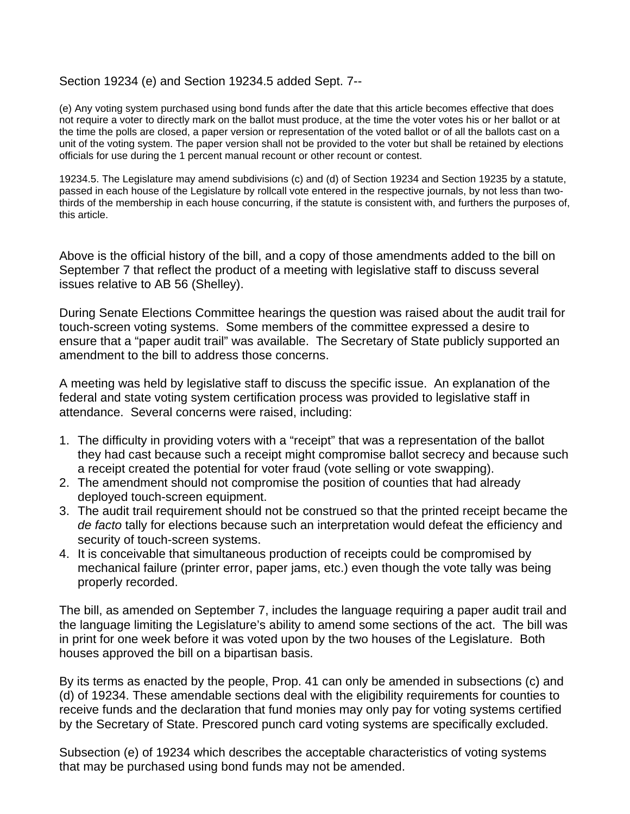# Section 19234 (e) and Section 19234.5 added Sept. 7--

(e) Any voting system purchased using bond funds after the date that this article becomes effective that does not require a voter to directly mark on the ballot must produce, at the time the voter votes his or her ballot or at the time the polls are closed, a paper version or representation of the voted ballot or of all the ballots cast on a unit of the voting system. The paper version shall not be provided to the voter but shall be retained by elections officials for use during the 1 percent manual recount or other recount or contest.

19234.5. The Legislature may amend subdivisions (c) and (d) of Section 19234 and Section 19235 by a statute, passed in each house of the Legislature by rollcall vote entered in the respective journals, by not less than twothirds of the membership in each house concurring, if the statute is consistent with, and furthers the purposes of, this article.

Above is the official history of the bill, and a copy of those amendments added to the bill on September 7 that reflect the product of a meeting with legislative staff to discuss several issues relative to AB 56 (Shelley).

During Senate Elections Committee hearings the question was raised about the audit trail for touch-screen voting systems. Some members of the committee expressed a desire to ensure that a "paper audit trail" was available. The Secretary of State publicly supported an amendment to the bill to address those concerns.

A meeting was held by legislative staff to discuss the specific issue. An explanation of the federal and state voting system certification process was provided to legislative staff in attendance. Several concerns were raised, including:

- 1. The difficulty in providing voters with a "receipt" that was a representation of the ballot they had cast because such a receipt might compromise ballot secrecy and because such a receipt created the potential for voter fraud (vote selling or vote swapping).
- 2. The amendment should not compromise the position of counties that had already deployed touch-screen equipment.
- 3. The audit trail requirement should not be construed so that the printed receipt became the *de facto* tally for elections because such an interpretation would defeat the efficiency and security of touch-screen systems.
- 4. It is conceivable that simultaneous production of receipts could be compromised by mechanical failure (printer error, paper jams, etc.) even though the vote tally was being properly recorded.

The bill, as amended on September 7, includes the language requiring a paper audit trail and the language limiting the Legislature's ability to amend some sections of the act. The bill was in print for one week before it was voted upon by the two houses of the Legislature. Both houses approved the bill on a bipartisan basis.

By its terms as enacted by the people, Prop. 41 can only be amended in subsections (c) and (d) of 19234. These amendable sections deal with the eligibility requirements for counties to receive funds and the declaration that fund monies may only pay for voting systems certified by the Secretary of State. Prescored punch card voting systems are specifically excluded.

Subsection (e) of 19234 which describes the acceptable characteristics of voting systems that may be purchased using bond funds may not be amended.